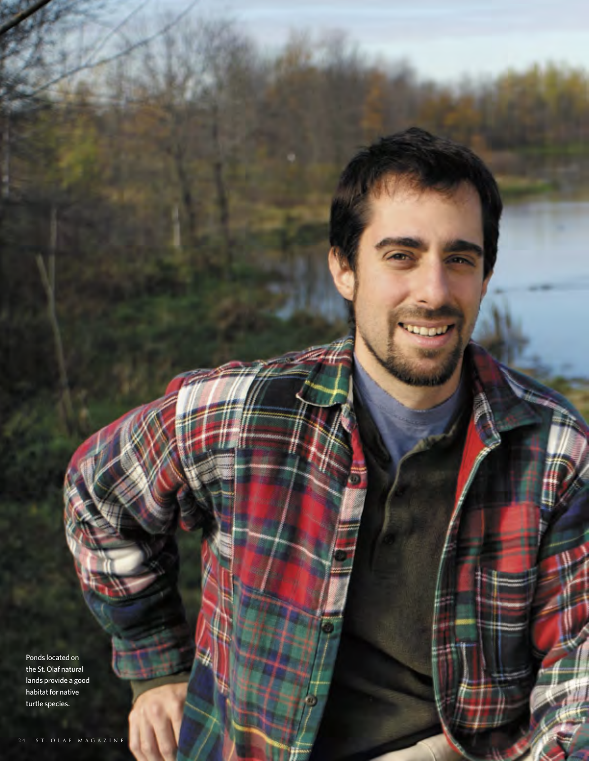Ponds located on the St.Olaf natural lands provide a good habitat for native turtle species.

i a s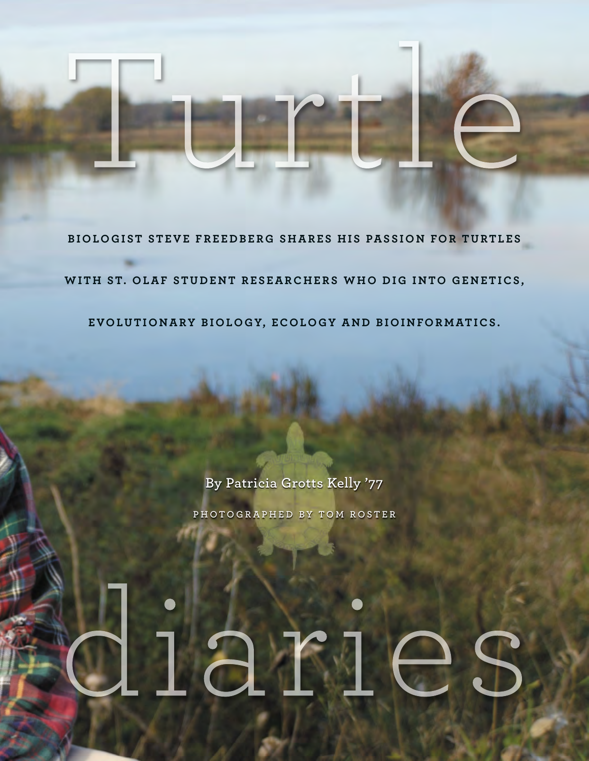### **B IOLOG I ST STEVE FRE E D B ER G SHARES HI S PAS S ION FOR TURTL ES**

WITH ST. OLAF STUDENT RESEARCHERS WHO DIG INTO GENETICS,

**EVOLUTION ARY B IOLOGY, ECOLOGY A N D B IOI N FOR MATI CS .**

**By Patricia Grotts Kelly '77**

**P H O T O G R A P H E D B Y T O M R O S T E R**

# lar16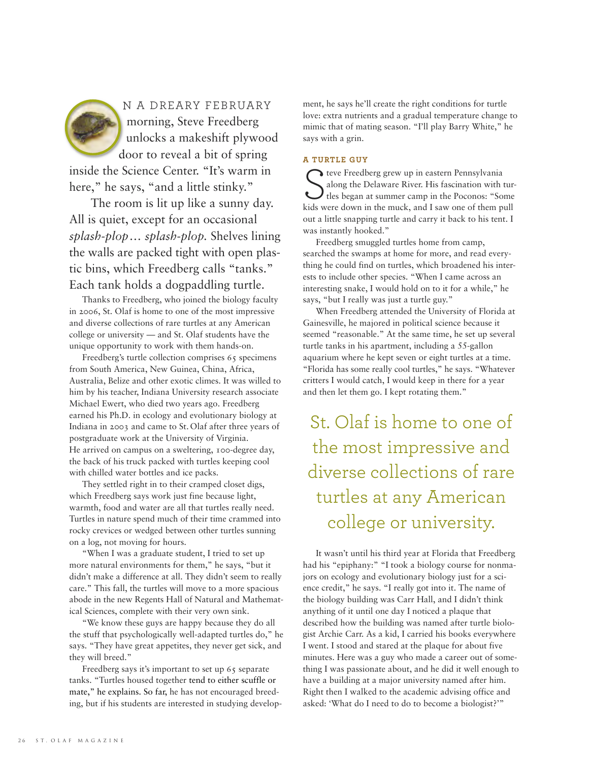N A DREARY FEBRUARY morning, Steve Freedberg unlocks a makeshift plywood door to reveal a bit of spring inside the Science Center. "It's warm in here," he says, "and a little stinky."

The room is lit up like a sunny day. All is quiet, except for an occasional *splash-plop… splash-plop.* Shelves lining the walls are packed tight with open plastic bins, which Freedberg calls "tanks." Each tank holds a dogpaddling turtle.

Thanks to Freedberg, who joined the biology faculty in 2006, St. Olaf is home to one of the most impressive and diverse collections of rare turtles at any American college or university — and St. Olaf students have the unique opportunity to work with them hands-on.

Freedberg's turtle collection comprises 65 specimens from South America, New Guinea, China, Africa, Australia, Belize and other exotic climes. It was willed to him by his teacher, Indiana University research associate Michael Ewert, who died two years ago. Freedberg earned his Ph.D. in ecology and evolutionary biology at Indiana in 2003 and came to St. Olaf after three years of postgraduate work at the University of Virginia. He arrived on campus on a sweltering, 100-degree day, the back of his truck packed with turtles keeping cool with chilled water bottles and ice packs.

They settled right in to their cramped closet digs, which Freedberg says work just fine because light, warmth, food and water are all that turtles really need. Turtles in nature spend much of their time crammed into rocky crevices or wedged between other turtles sunning on a log, not moving for hours.

"When I was a graduate student, I tried to set up more natural environments for them," he says, "but it didn't make a difference at all. They didn't seem to really care." This fall, the turtles will move to a more spacious abode in the new Regents Hall of Natural and Mathematical Sciences, complete with their very own sink.

"We know these guys are happy because they do all the stuff that psychologically well-adapted turtles do," he says. "They have great appetites, they never get sick, and they will breed."

Freedberg says it's important to set up 65 separate tanks. "Turtles housed together tend to either scuffle or mate," he explains. So far, he has not encouraged breeding, but if his students are interested in studying development, he says he'll create the right conditions for turtle love: extra nutrients and a gradual temperature change to mimic that of mating season. "I'll play Barry White," he says with a grin.

#### **A TURTLE GUY**

teve Freedberg grew up in eastern Pennsylvania along the Delaware River. His fascination with tur- $\mathcal{J}$  tles began at summer camp in the Poconos: "Some kids were down in the muck, and I saw one of them pull out a little snapping turtle and carry it back to his tent. I was instantly hooked."

Freedberg smuggled turtles home from camp, searched the swamps at home for more, and read everything he could find on turtles, which broadened his interests to include other species. "When I came across an interesting snake, I would hold on to it for a while," he says, "but I really was just a turtle guy."

When Freedberg attended the University of Florida at Gainesville, he majored in political science because it seemed "reasonable." At the same time, he set up several turtle tanks in his apartment, including a 55-gallon aquarium where he kept seven or eight turtles at a time. "Florida has some really cool turtles," he says. "Whatever critters I would catch, I would keep in there for a year and then let them go. I kept rotating them."

St. Olaf is home to one of the most impressive and diverse collections of rare turtles at any American college or university.

It wasn't until his third year at Florida that Freedberg had his "epiphany:" "I took a biology course for nonmajors on ecology and evolutionary biology just for a science credit," he says. "I really got into it. The name of the biology building was Carr Hall, and I didn't think anything of it until one day I noticed a plaque that described how the building was named after turtle biologist Archie Carr. As a kid, I carried his books everywhere I went. I stood and stared at the plaque for about five minutes. Here was a guy who made a career out of something I was passionate about, and he did it well enough to have a building at a major university named after him. Right then I walked to the academic advising office and asked: 'What do I need to do to become a biologist?'"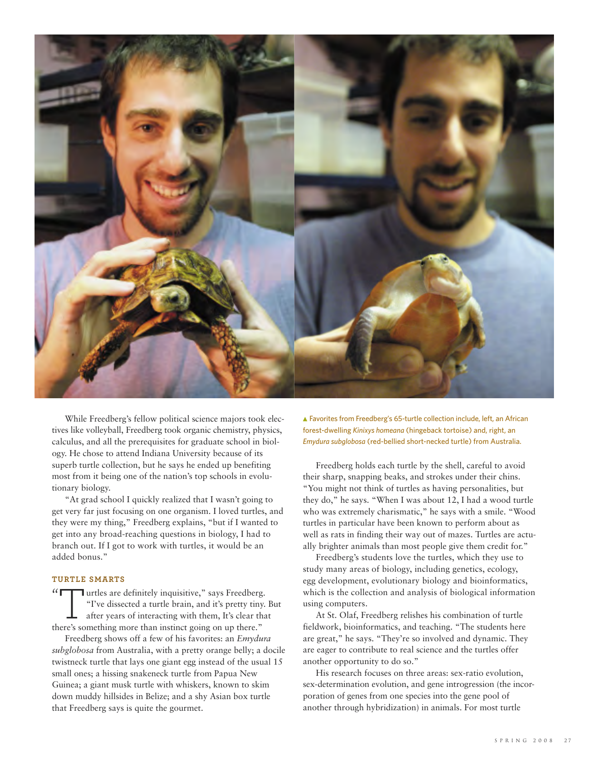

While Freedberg's fellow political science majors took electives like volleyball, Freedberg took organic chemistry, physics, calculus, and all the prerequisites for graduate school in biology. He chose to attend Indiana University because of its superb turtle collection, but he says he ended up benefiting most from it being one of the nation's top schools in evolutionary biology.

"At grad school I quickly realized that I wasn't going to get very far just focusing on one organism. I loved turtles, and they were my thing," Freedberg explains, "but if I wanted to get into any broad-reaching questions in biology, I had to branch out. If I got to work with turtles, it would be an added bonus."

#### **TURTLE SMARTS**

 $\frac{1}{2}$ **Turtles are definitely inquisitive," says Freedberg.** "I've dissected a turtle brain, and it's pretty tiny. But after years of interacting with them, It's clear that there's something more than instinct going on up there."

Freedberg shows off a few of his favorites: an *Emydura subglobosa* from Australia, with a pretty orange belly; a docile twistneck turtle that lays one giant egg instead of the usual 15 small ones; a hissing snakeneck turtle from Papua New Guinea; a giant musk turtle with whiskers, known to skim down muddy hillsides in Belize; and a shy Asian box turtle that Freedberg says is quite the gourmet.

Favorites from Freedberg's 65-turtle collection include, left, an African forest-dwelling *Kinixys homeana* (hingeback tortoise) and, right, an *Emydura subglobosa* (red-bellied short-necked turtle) from Australia.

Freedberg holds each turtle by the shell, careful to avoid their sharp, snapping beaks, and strokes under their chins. "You might not think of turtles as having personalities, but they do," he says. "When I was about 12, I had a wood turtle who was extremely charismatic," he says with a smile. "Wood turtles in particular have been known to perform about as well as rats in finding their way out of mazes. Turtles are actually brighter animals than most people give them credit for."

Freedberg's students love the turtles, which they use to study many areas of biology, including genetics, ecology, egg development, evolutionary biology and bioinformatics, which is the collection and analysis of biological information using computers.

At St. Olaf, Freedberg relishes his combination of turtle fieldwork, bioinformatics, and teaching. "The students here are great," he says. "They're so involved and dynamic. They are eager to contribute to real science and the turtles offer another opportunity to do so."

His research focuses on three areas: sex-ratio evolution, sex-determination evolution, and gene introgression (the incorporation of genes from one species into the gene pool of another through hybridization) in animals. For most turtle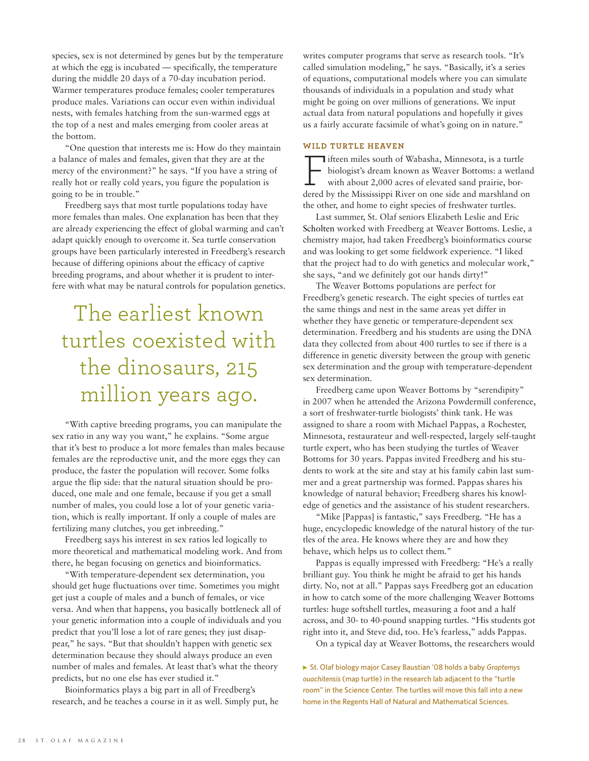species, sex is not determined by genes but by the temperature at which the egg is incubated — specifically, the temperature during the middle 20 days of a 70-day incubation period. Warmer temperatures produce females; cooler temperatures produce males. Variations can occur even within individual nests, with females hatching from the sun-warmed eggs at the top of a nest and males emerging from cooler areas at the bottom.

"One question that interests me is: How do they maintain a balance of males and females, given that they are at the mercy of the environment?" he says. "If you have a string of really hot or really cold years, you figure the population is going to be in trouble."

Freedberg says that most turtle populations today have more females than males. One explanation has been that they are already experiencing the effect of global warming and can't adapt quickly enough to overcome it. Sea turtle conservation groups have been particularly interested in Freedberg's research because of differing opinions about the efficacy of captive breeding programs, and about whether it is prudent to interfere with what may be natural controls for population genetics.

## The earliest known turtles coexisted with the dinosaurs, 215 million years ago.

"With captive breeding programs, you can manipulate the sex ratio in any way you want," he explains. "Some argue that it's best to produce a lot more females than males because females are the reproductive unit, and the more eggs they can produce, the faster the population will recover. Some folks argue the flip side: that the natural situation should be produced, one male and one female, because if you get a small number of males, you could lose a lot of your genetic variation, which is really important. If only a couple of males are fertilizing many clutches, you get inbreeding."

Freedberg says his interest in sex ratios led logically to more theoretical and mathematical modeling work. And from there, he began focusing on genetics and bioinformatics.

"With temperature-dependent sex determination, you should get huge fluctuations over time. Sometimes you might get just a couple of males and a bunch of females, or vice versa. And when that happens, you basically bottleneck all of your genetic information into a couple of individuals and you predict that you'll lose a lot of rare genes; they just disappear," he says. "But that shouldn't happen with genetic sex determination because they should always produce an even number of males and females. At least that's what the theory predicts, but no one else has ever studied it."

Bioinformatics plays a big part in all of Freedberg's research, and he teaches a course in it as well. Simply put, he writes computer programs that serve as research tools. "It's called simulation modeling," he says. "Basically, it's a series of equations, computational models where you can simulate thousands of individuals in a population and study what might be going on over millions of generations. We input actual data from natural populations and hopefully it gives us a fairly accurate facsimile of what's going on in nature."

#### **WILD TURTLE HEAVEN**

Fifteen miles south of Wabasha, Minnesota, is <sup>a</sup> turtle biologist's dream known as Weaver Bottoms: a wetland with about 2,000 acres of elevated sand prairie, bordered by the Mississippi River on one side and marshland on the other, and home to eight species of freshwater turtles.

Last summer, St. Olaf seniors Elizabeth Leslie and Eric Scholten worked with Freedberg at Weaver Bottoms. Leslie, a chemistry major, had taken Freedberg's bioinformatics course and was looking to get some fieldwork experience. "I liked that the project had to do with genetics and molecular work," she says, "and we definitely got our hands dirty!"

The Weaver Bottoms populations are perfect for Freedberg's genetic research. The eight species of turtles eat the same things and nest in the same areas yet differ in whether they have genetic or temperature-dependent sex determination. Freedberg and his students are using the DNA data they collected from about 400 turtles to see if there is a difference in genetic diversity between the group with genetic sex determination and the group with temperature-dependent sex determination.

Freedberg came upon Weaver Bottoms by "serendipity" in 2007 when he attended the Arizona Powdermill conference, a sort of freshwater-turtle biologists' think tank. He was assigned to share a room with Michael Pappas, a Rochester, Minnesota, restaurateur and well-respected, largely self-taught turtle expert, who has been studying the turtles of Weaver Bottoms for 30 years. Pappas invited Freedberg and his students to work at the site and stay at his family cabin last summer and a great partnership was formed. Pappas shares his knowledge of natural behavior; Freedberg shares his knowledge of genetics and the assistance of his student researchers.

"Mike [Pappas] is fantastic," says Freedberg. "He has a huge, encyclopedic knowledge of the natural history of the turtles of the area. He knows where they are and how they behave, which helps us to collect them."

Pappas is equally impressed with Freedberg: "He's a really brilliant guy. You think he might be afraid to get his hands dirty. No, not at all." Pappas says Freedberg got an education in how to catch some of the more challenging Weaver Bottoms turtles: huge softshell turtles, measuring a foot and a half across, and 30- to 40-pound snapping turtles. "His students got right into it, and Steve did, too. He's fearless," adds Pappas.

On a typical day at Weaver Bottoms, the researchers would

▶ St. Olaf biology major Casey Baustian '08 holds a baby *Graptemys ouachitensis* (map turtle) in the research lab adjacent to the "turtle room" in the Science Center. The turtles will move this fall into a new home in the Regents Hall of Natural and Mathematical Sciences.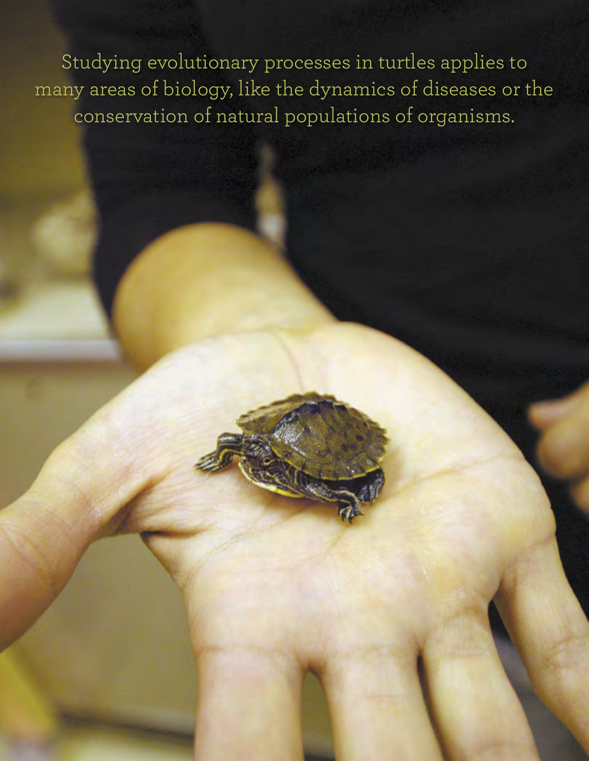Studying evolutionary processes in turtles applies to many areas of biology, like the dynamics of diseases or the conservation of natural populations of organisms.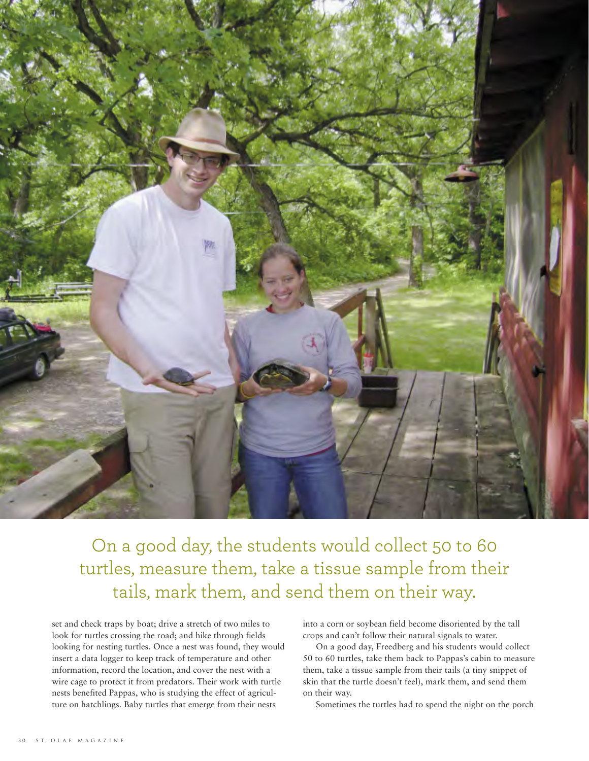

On a good day, the students would collect 50 to 60 turtles, measure them, take a tissue sample from their tails, mark them, and send them on their way.

set and check traps by boat; drive a stretch of two miles to look for turtles crossing the road; and hike through fields looking for nesting turtles. Once a nest was found, they would insert a data logger to keep track of temperature and other information, record the location, and cover the nest with a wire cage to protect it from predators. Their work with turtle nests benefited Pappas, who is studying the effect of agriculture on hatchlings. Baby turtles that emerge from their nests

into a corn or soybean field become disoriented by the tall crops and can't follow their natural signals to water.

On a good day, Freedberg and his students would collect 50 to 60 turtles, take them back to Pappas's cabin to measure them, take a tissue sample from their tails (a tiny snippet of skin that the turtle doesn't feel), mark them, and send them on their way.

Sometimes the turtles had to spend the night on the porch